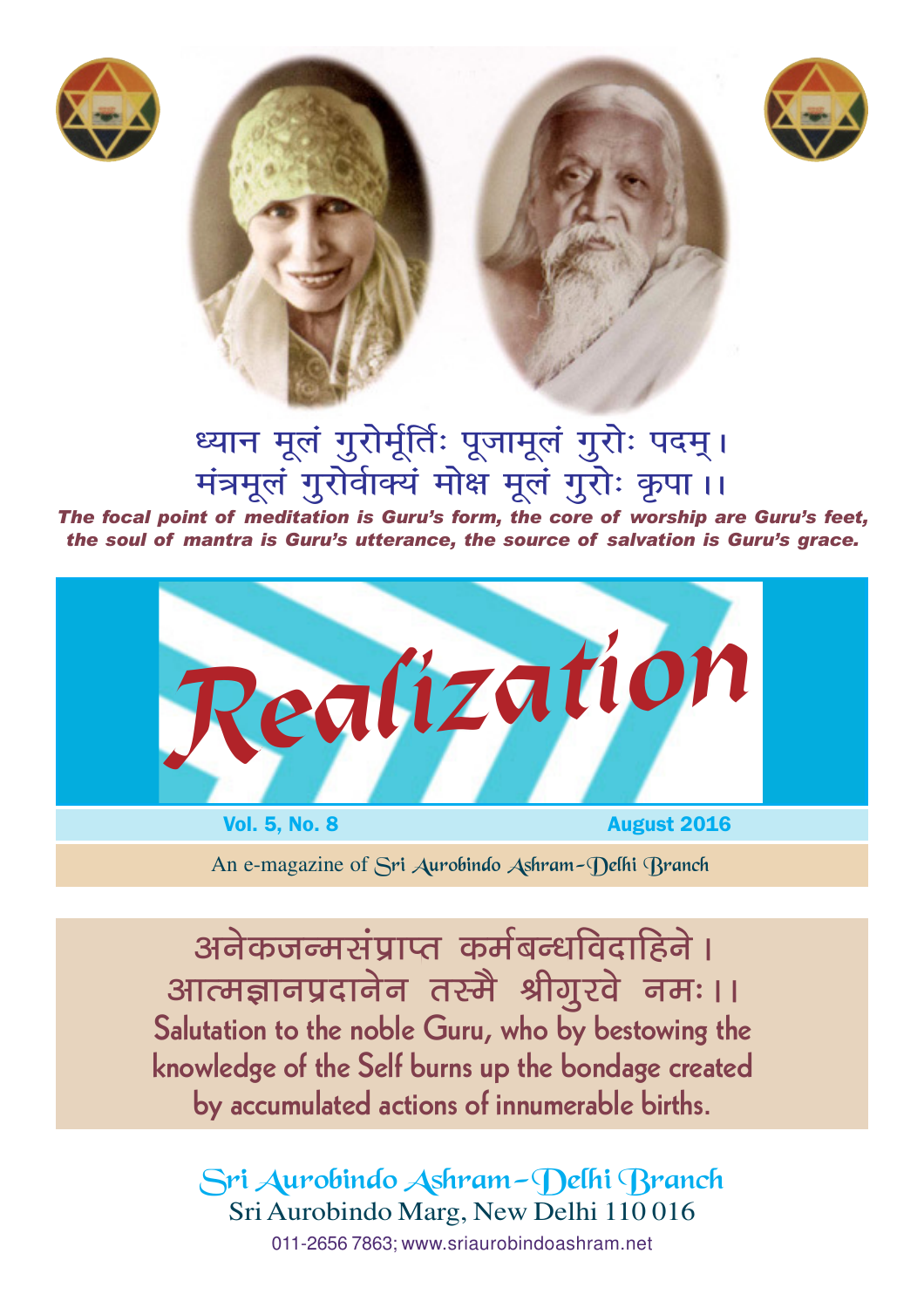



# ध्यान मूलं गुरोर्मूर्तिः पूजामूलं गुरोः पदम्। मंत्रमूलं गुरोर्वाक्यं मोक्ष मूलं गुरोः कृपा।।

*The focal point of meditation is Guru's form, the core of worship are Guru's feet, the soul of mantra is Guru's utterance, the source of salvation is Guru's grace.*



An e-magazine of Sri Aurobindo Ashram-Delhi Branch

अनेकजन्मसंप्राप्त कर्मबन्धविदाहिने । आत्मज्ञानप्रदानेन तस्मै श्रीगुरवे नमः।। **Salutation to the noble Guru, who by bestowing the knowledge of the Self burns up the bondage created by accumulated actions of innumerable births.**

Sri Aurobindo Ashram-Delhi Branch Sri Aurobindo Marg, New Delhi 110 016 011-2656 7863; www.sriaurobindoashram.net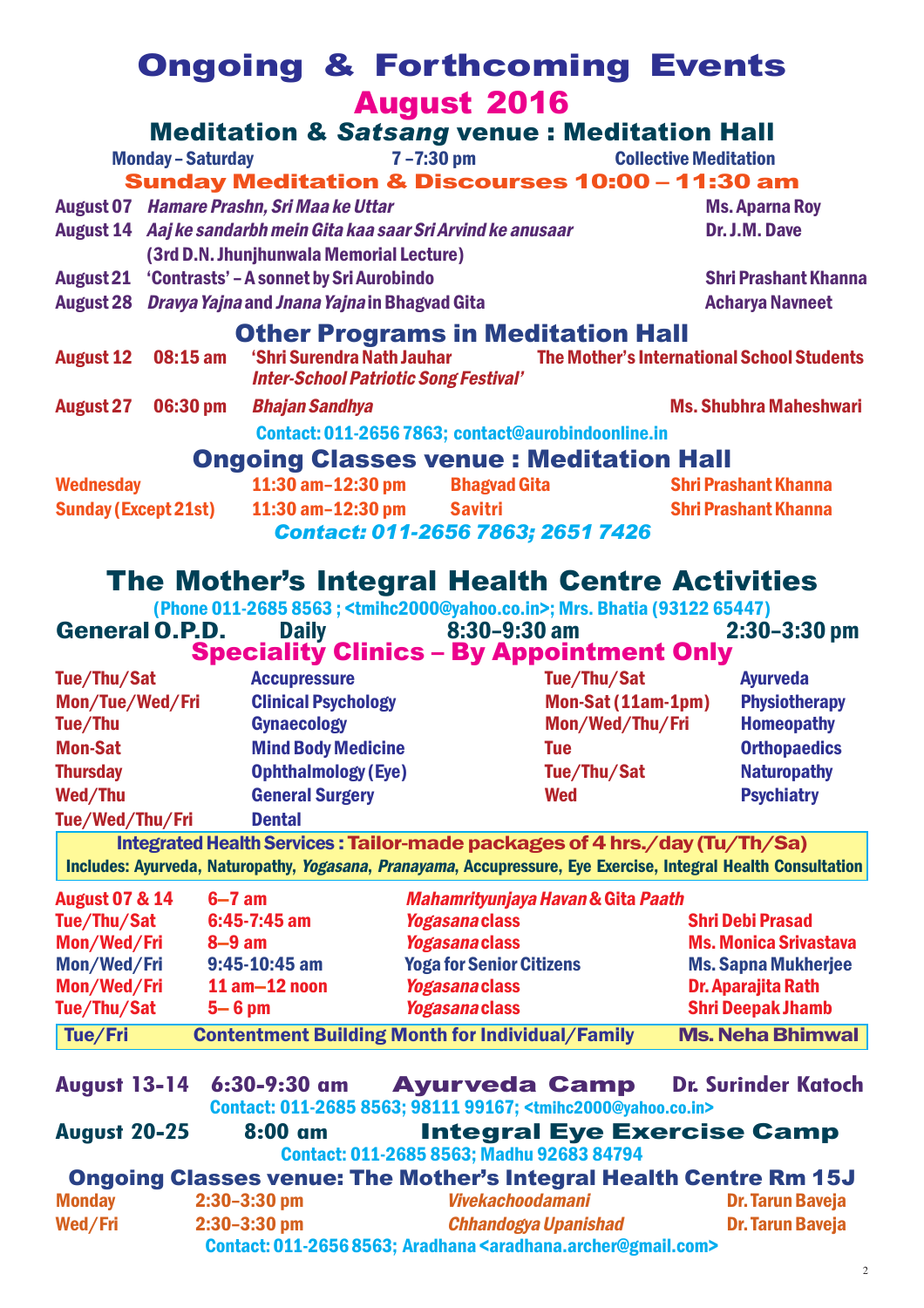# Ongoing & Forthcoming Events August 2016

|                                                                                                                                                                                                               |                             |                                                                                                  |                                        | <b>Meditation &amp; Satsang venue: Meditation Hall</b>                                                                                   |
|---------------------------------------------------------------------------------------------------------------------------------------------------------------------------------------------------------------|-----------------------------|--------------------------------------------------------------------------------------------------|----------------------------------------|------------------------------------------------------------------------------------------------------------------------------------------|
| <b>Monday - Saturday</b>                                                                                                                                                                                      |                             |                                                                                                  | <b>7-7:30 pm Collective Meditation</b> |                                                                                                                                          |
|                                                                                                                                                                                                               |                             |                                                                                                  |                                        | <b>Sunday Meditation &amp; Discourses 10:00 - 11:30 am</b>                                                                               |
|                                                                                                                                                                                                               |                             | August 07 Hamare Prashn, Sri Maa ke Uttar                                                        |                                        | <b>Ms. Aparna Roy</b>                                                                                                                    |
|                                                                                                                                                                                                               |                             | August 14 Aaj ke sandarbh mein Gita kaa saar Sri Arvind ke anusaar                               |                                        | Dr. J.M. Dave                                                                                                                            |
|                                                                                                                                                                                                               |                             | (3rd D.N. Jhunjhunwala Memorial Lecture)                                                         |                                        |                                                                                                                                          |
|                                                                                                                                                                                                               |                             | August 21 'Contrasts' - A sonnet by Sri Aurobindo                                                |                                        | <b>Shri Prashant Khanna</b>                                                                                                              |
|                                                                                                                                                                                                               |                             | August 28 Dravya Yajna and Jnana Yajna in Bhagvad Gita                                           |                                        | <b>Acharya Navneet</b>                                                                                                                   |
|                                                                                                                                                                                                               |                             |                                                                                                  |                                        |                                                                                                                                          |
| <b>Other Programs in Meditation Hall</b><br>'Shri Surendra Nath Jauhar<br><b>The Mother's International School Students</b><br><b>August 12</b><br>$08:15$ am<br><b>Inter-School Patriotic Song Festival'</b> |                             |                                                                                                  |                                        |                                                                                                                                          |
| <b>August 27</b>                                                                                                                                                                                              | 06:30 pm                    | <b>Bhajan Sandhya</b>                                                                            |                                        | <b>Ms. Shubhra Maheshwari</b>                                                                                                            |
|                                                                                                                                                                                                               |                             | Contact: 011-2656 7863; contact@aurobindoonline.in                                               |                                        |                                                                                                                                          |
|                                                                                                                                                                                                               |                             | <b>Ongoing Classes venue: Meditation Hall</b>                                                    |                                        |                                                                                                                                          |
| <b>Wednesday</b>                                                                                                                                                                                              |                             | 11:30 am-12:30 pm Bhagyad Gita                                                                   |                                        | <b>Shri Prashant Khanna</b>                                                                                                              |
|                                                                                                                                                                                                               | <b>Sunday (Except 21st)</b> | 11:30 am-12:30 pm Savitri                                                                        |                                        | <b>Shri Prashant Khanna</b>                                                                                                              |
| Contact: 011-2656 7863; 2651 7426                                                                                                                                                                             |                             |                                                                                                  |                                        |                                                                                                                                          |
|                                                                                                                                                                                                               |                             | (Phone 011-2685 8563; <tmihc2000@yahoo.co.in>; Mrs. Bhatia (93122 65447)</tmihc2000@yahoo.co.in> |                                        | <b>The Mother's Integral Health Centre Activities</b>                                                                                    |
|                                                                                                                                                                                                               | <b>General O.P.D.</b>       | <b>Daily Daily</b><br><b>CONTRACTOR</b>                                                          | $8:30-9:30$ am                         | $2:30-3:30$ pm<br><u>a se a contra de la contra de la contra de la contra de la contra de la contra de la contra de la contra de la </u> |

Speciality Clinics – By Appointment Only

| Tue/Thu/Sat     | <b>Accupressure</b>        | Tue/Thu/Sat        | <b>Ayurveda</b>      |
|-----------------|----------------------------|--------------------|----------------------|
| Mon/Tue/Wed/Fri | <b>Clinical Psychology</b> | Mon-Sat (11am-1pm) | <b>Physiotherapy</b> |
| Tue/Thu         | <b>Gynaecology</b>         | Mon/Wed/Thu/Fri    | <b>Homeopathy</b>    |
| <b>Mon-Sat</b>  | <b>Mind Body Medicine</b>  | <b>Tue</b>         | <b>Orthopaedics</b>  |
| <b>Thursday</b> | <b>Ophthalmology (Eye)</b> | Tue/Thu/Sat        | <b>Naturopathy</b>   |
| Wed/Thu         | <b>General Surgery</b>     | <b>Wed</b>         | <b>Psychiatry</b>    |
| Tue/Wed/Thu/Fri | <b>Dental</b>              |                    |                      |
|                 |                            |                    |                      |

Integrated Health Services : Tailor-made packages of 4 hrs./day (Tu/Th/Sa) Includes: Ayurveda, Naturopathy, Yogasana, Pranayama, Accupressure, Eye Exercise, Integral Health Consultation

| <b>August 07 &amp; 14</b> | $6 - 7$ am         | Mahamrityunjaya Havan & Gita Paath                      |                              |
|---------------------------|--------------------|---------------------------------------------------------|------------------------------|
| Tue/Thu/Sat               | $6:45-7:45$ am     | <i><b>Yogasanaclass</b></i>                             | <b>Shri Debi Prasad</b>      |
| Mon/Wed/Fri               | $8-9$ am           | <i><b>Yogasanaclass</b></i>                             | <b>Ms. Monica Srivastava</b> |
| Mon/Wed/Fri               | $9:45-10:45$ am    | <b>Yoga for Senior Citizens</b>                         | <b>Ms. Sapna Mukherjee</b>   |
| Mon/Wed/Fri               | $11$ am $-12$ noon | <i><b>Yogasanaclass</b></i>                             | <b>Dr. Aparajita Rath</b>    |
| Tue/Thu/Sat               | $5 - 6$ pm         | <i><b>Yogasanaclass</b></i>                             | <b>Shri Deepak Jhamb</b>     |
| Tue/Fri                   |                    | <b>Contentment Building Month for Individual/Family</b> | <b>Ms. Neha Bhimwal</b>      |

|                     | August 13-14 6:30-9:30 am | <b>Ayurveda Camp</b>                                                                     | <b>Dr. Surinder Katoch</b> |
|---------------------|---------------------------|------------------------------------------------------------------------------------------|----------------------------|
|                     |                           | Contact: 011-2685 8563; 98111 99167; <tmihc2000@yahoo.co.in></tmihc2000@yahoo.co.in>     |                            |
| <b>August 20-25</b> | $8:00$ am                 | <b>Integral Eye Exercise Camp</b>                                                        |                            |
|                     |                           | Contact: 011-2685 8563; Madhu 92683 84794                                                |                            |
|                     |                           | <b>Ongoing Classes venue: The Mother's Integral Health Centre Rm 15J</b>                 |                            |
| <b>Monday</b>       | $2:30-3:30$ pm            | <b>Vivekachoodamani</b>                                                                  | <b>Dr. Tarun Baveja</b>    |
| Wed/Fri             | $2:30-3:30$ pm            | <b>Chhandogya Upanishad</b>                                                              | <b>Dr. Tarun Baveja</b>    |
|                     |                           | Contact: 011-2656 8563; Aradhana <aradhana.archer@gmail.com></aradhana.archer@gmail.com> |                            |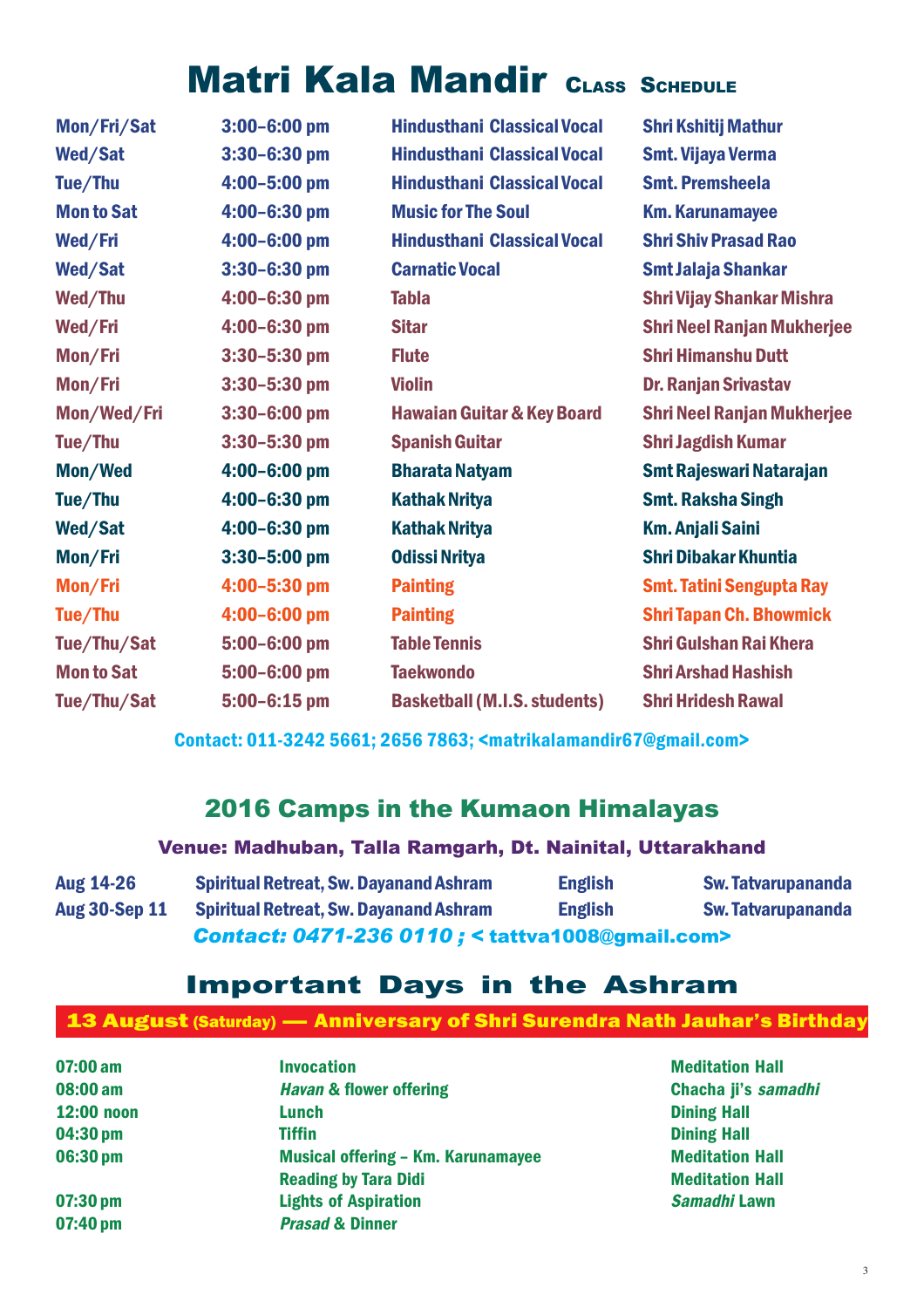# **Matri Kala Mandir CLASS SCHEDULE**

| Mon/Fri/Sat       | $3:00 - 6:00$ pm | <b>Hindusthani Classical Vocal</b>    | <b>Shri Kshitij Mathur</b>        |
|-------------------|------------------|---------------------------------------|-----------------------------------|
| Wed/Sat           | $3:30-6:30$ pm   | <b>Hindusthani Classical Vocal</b>    | <b>Smt. Vijaya Verma</b>          |
| Tue/Thu           | $4:00 - 5:00$ pm | <b>Hindusthani Classical Vocal</b>    | <b>Smt. Premsheela</b>            |
| <b>Mon to Sat</b> | 4:00-6:30 pm     | <b>Music for The Soul</b>             | <b>Km. Karunamayee</b>            |
| Wed/Fri           | $4:00 - 6:00$ pm | <b>Hindusthani Classical Vocal</b>    | <b>Shri Shiv Prasad Rao</b>       |
| Wed/Sat           | $3:30-6:30$ pm   | <b>Carnatic Vocal</b>                 | <b>Smt Jalaja Shankar</b>         |
| Wed/Thu           | 4:00-6:30 pm     | <b>Tabla</b>                          | <b>Shri Vijay Shankar Mishra</b>  |
| Wed/Fri           | $4:00 - 6:30$ pm | <b>Sitar</b>                          | <b>Shri Neel Ranjan Mukherjee</b> |
| Mon/Fri           | $3:30 - 5:30$ pm | <b>Flute</b>                          | <b>Shri Himanshu Dutt</b>         |
| Mon/Fri           | $3:30 - 5:30$ pm | <b>Violin</b>                         | <b>Dr. Ranjan Srivastav</b>       |
| Mon/Wed/Fri       | 3:30-6:00 pm     | <b>Hawaian Guitar &amp; Key Board</b> | <b>Shri Neel Ranjan Mukherjee</b> |
| Tue/Thu           | $3:30 - 5:30$ pm | <b>Spanish Guitar</b>                 | <b>Shri Jagdish Kumar</b>         |
| Mon/Wed           | $4:00 - 6:00$ pm | <b>Bharata Natyam</b>                 | <b>Smt Rajeswari Natarajan</b>    |
| Tue/Thu           | 4:00-6:30 pm     | <b>Kathak Nritya</b>                  | <b>Smt. Raksha Singh</b>          |
| Wed/Sat           | $4:00 - 6:30$ pm | <b>Kathak Nritya</b>                  | <b>Km. Anjali Saini</b>           |
| Mon/Fri           | $3:30 - 5:00$ pm | <b>Odissi Nritya</b>                  | <b>Shri Dibakar Khuntia</b>       |
| Mon/Fri           | $4:00 - 5:30$ pm | <b>Painting</b>                       | <b>Smt. Tatini Sengupta Ray</b>   |
| Tue/Thu           | 4:00-6:00 pm     | <b>Painting</b>                       | <b>Shri Tapan Ch. Bhowmick</b>    |
| Tue/Thu/Sat       | $5:00 - 6:00$ pm | <b>Table Tennis</b>                   | <b>Shri Gulshan Rai Khera</b>     |
| <b>Mon to Sat</b> | $5:00 - 6:00$ pm | <b>Taekwondo</b>                      | <b>Shri Arshad Hashish</b>        |
| Tue/Thu/Sat       | $5:00 - 6:15$ pm | <b>Basketball (M.I.S. students)</b>   | <b>Shri Hridesh Rawal</b>         |

Contact: 011-3242 5661; 2656 7863; <matrikalamandir67@gmail.com>

## 2016 Camps in the Kumaon Himalayas

### Venue: Madhuban, Talla Ramgarh, Dt. Nainital, Uttarakhand

| <b>Aug 14-26</b>     | <b>Spiritual Retreat, Sw. Dayanand Ashram</b>    | <b>English</b> | <b>Sw. Tatvarupananda</b> |
|----------------------|--------------------------------------------------|----------------|---------------------------|
| <b>Aug 30-Sep 11</b> | <b>Spiritual Retreat, Sw. Dayanand Ashram</b>    | <b>English</b> | <b>Sw. Tatvarupananda</b> |
|                      | Contact: 0471-236 0110 ; < tattva1008@gmail.com> |                |                           |

## Important Days in the Ashram

### 13 August (Saturday)–Anniversary of Shri Surendra Nath Jauhar's Birthday

| 07:00 am          | <b>Invocation</b>                         | <b>Meditation Hall</b> |
|-------------------|-------------------------------------------|------------------------|
| 08:00 am          | <b>Havan &amp; flower offering</b>        | Chacha ji's samadhi    |
| <b>12:00 noon</b> | Lunch                                     | <b>Dining Hall</b>     |
| 04:30 pm          | <b>Tiffin</b>                             | <b>Dining Hall</b>     |
| 06:30 pm          | <b>Musical offering - Km. Karunamayee</b> | <b>Meditation Hall</b> |
|                   | <b>Reading by Tara Didi</b>               | <b>Meditation Hall</b> |
| 07:30 pm          | <b>Lights of Aspiration</b>               | Samadhi Lawn           |
| 07:40 pm          | <b>Prasad &amp; Dinner</b>                |                        |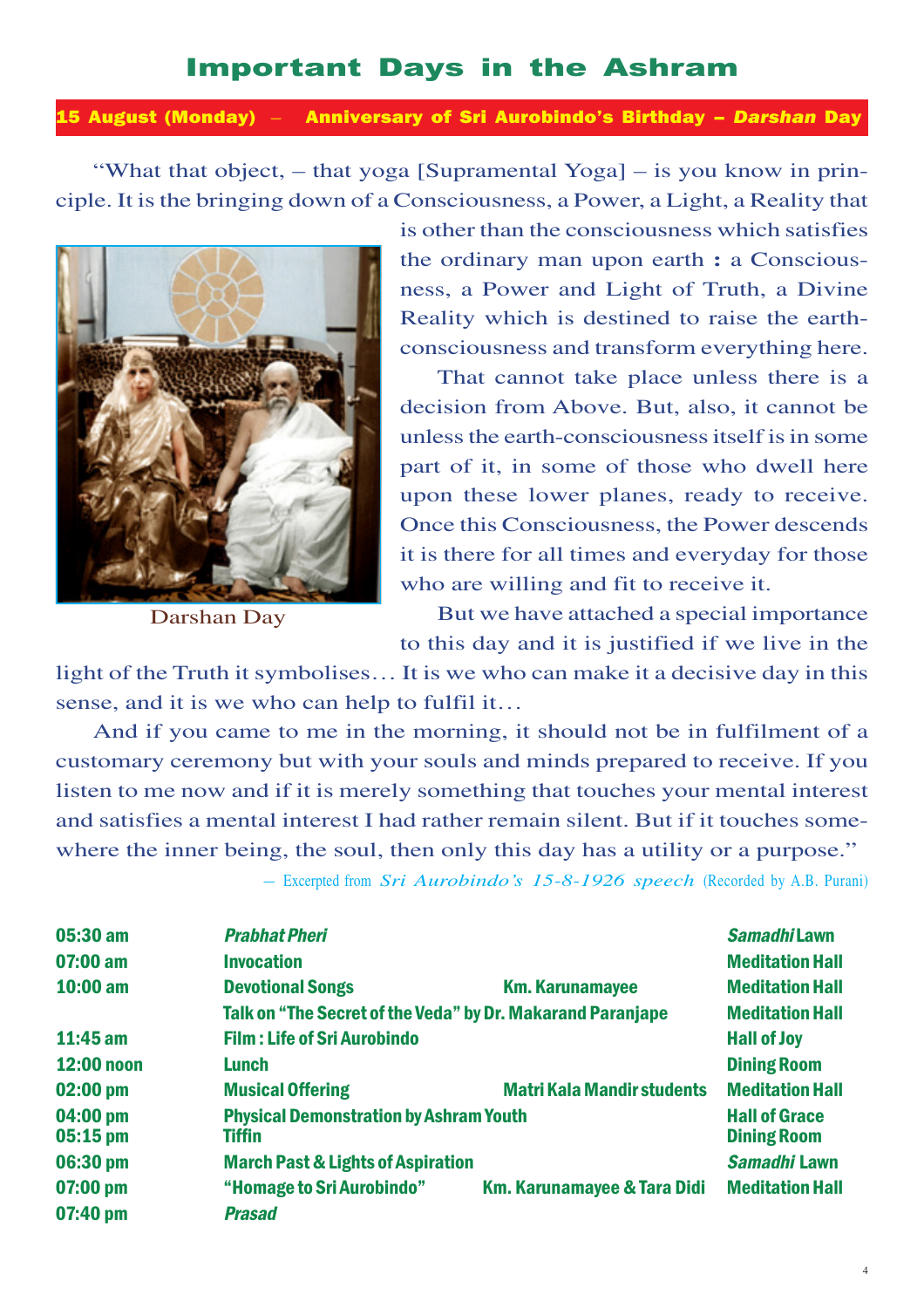## Important Days in the Ashram

#### 15 August (Monday) – Anniversary of Sri Aurobindo's Birthday – *Darshan* Day

"What that object, – that yoga [Supramental Yoga] – is you know in principle. It is the bringing down of a Consciousness, a Power, a Light, a Reality that



Darshan Day

is other than the consciousness which satisfies the ordinary man upon earth **:** a Consciousness, a Power and Light of Truth, a Divine Reality which is destined to raise the earthconsciousness and transform everything here.

That cannot take place unless there is a decision from Above. But, also, it cannot be unless the earth-consciousness itself is in some part of it, in some of those who dwell here upon these lower planes, ready to receive. Once this Consciousness, the Power descends it is there for all times and everyday for those who are willing and fit to receive it.

But we have attached a special importance to this day and it is justified if we live in the

light of the Truth it symbolises… It is we who can make it a decisive day in this sense, and it is we who can help to fulfil it…

And if you came to me in the morning, it should not be in fulfilment of a customary ceremony but with your souls and minds prepared to receive. If you listen to me now and if it is merely something that touches your mental interest and satisfies a mental interest I had rather remain silent. But if it touches somewhere the inner being, the soul, then only this day has a utility or a purpose."

– Excerpted from *Sri Aurobindo's 15-8-1926 speech* (Recorded by A.B. Purani)

| 05:30 am             | <b>Prabhat Pheri</b>                                           |                                        | SamadhiLawn                                |
|----------------------|----------------------------------------------------------------|----------------------------------------|--------------------------------------------|
| 07:00 am             | <b>Invocation</b>                                              |                                        | <b>Meditation Hall</b>                     |
| 10:00 am             | <b>Devotional Songs</b>                                        | <b>Km. Karunamayee</b>                 | <b>Meditation Hall</b>                     |
|                      | Talk on "The Secret of the Veda" by Dr. Makarand Paranjape     |                                        | <b>Meditation Hall</b>                     |
| $11:45$ am           | <b>Film: Life of Sri Aurobindo</b>                             |                                        | <b>Hall of Joy</b>                         |
| <b>12:00 noon</b>    | Lunch                                                          |                                        | <b>Dining Room</b>                         |
| 02:00 pm             | <b>Musical Offering</b>                                        | <b>Matri Kala Mandir students</b>      | <b>Meditation Hall</b>                     |
| 04:00 pm<br>05:15 pm | <b>Physical Demonstration by Ashram Youth</b><br><b>Tiffin</b> |                                        | <b>Hall of Grace</b><br><b>Dining Room</b> |
| 06:30 pm             | <b>March Past &amp; Lights of Aspiration</b>                   |                                        | Samadhi Lawn                               |
| 07:00 pm             | "Homage to Sri Aurobindo"                                      | <b>Km. Karunamayee &amp; Tara Didi</b> | <b>Meditation Hall</b>                     |
| 07:40 pm             | <b>Prasad</b>                                                  |                                        |                                            |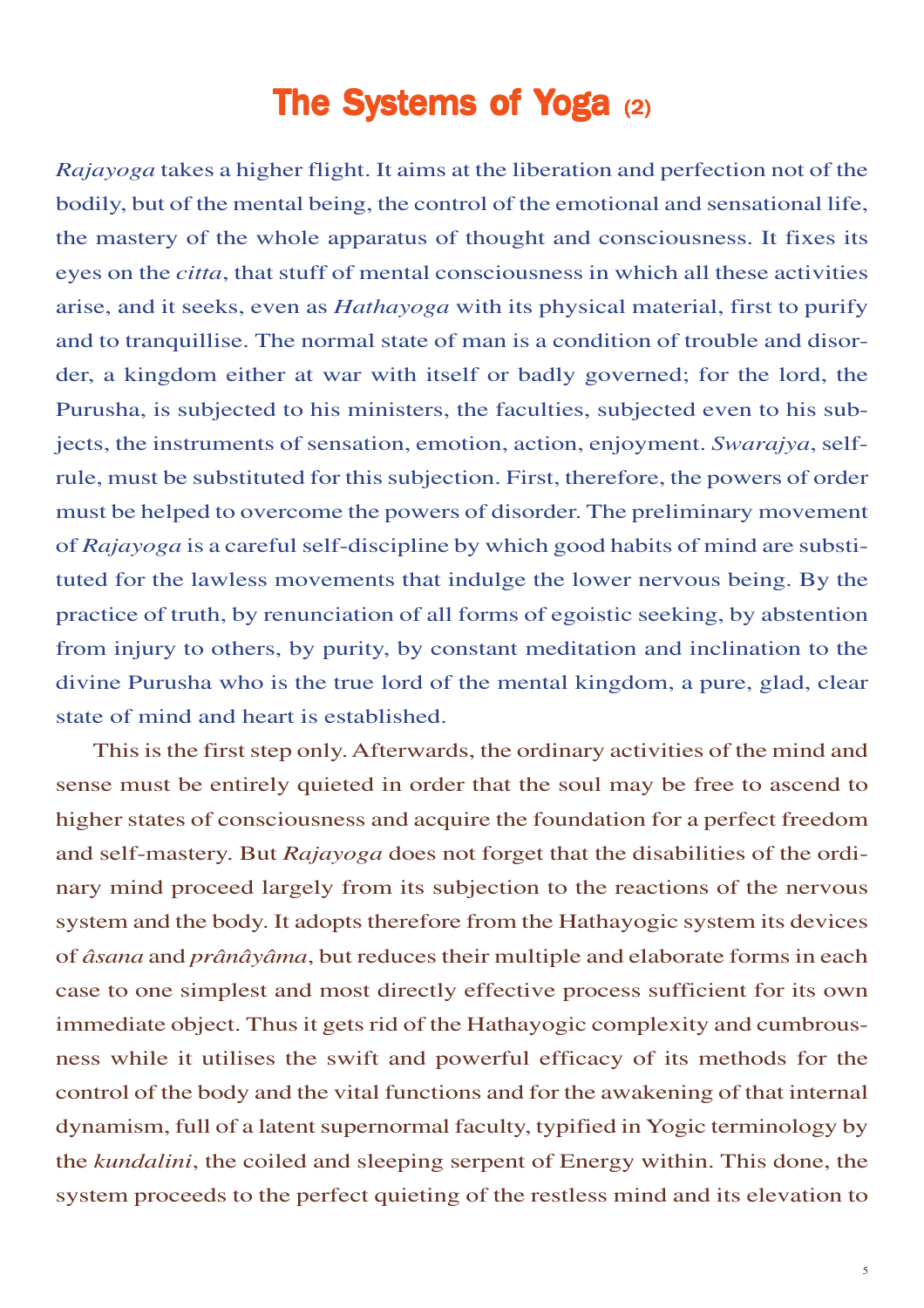# The Systems of Yoga (2)

*Rajayoga* takes a higher flight. It aims at the liberation and perfection not of the bodily, but of the mental being, the control of the emotional and sensational life, the mastery of the whole apparatus of thought and consciousness. It fixes its eyes on the *citta*, that stuff of mental consciousness in which all these activities arise, and it seeks, even as *Hathayoga* with its physical material, first to purify and to tranquillise. The normal state of man is a condition of trouble and disorder, a kingdom either at war with itself or badly governed; for the lord, the Purusha, is subjected to his ministers, the faculties, subjected even to his subjects, the instruments of sensation, emotion, action, enjoyment. *Swarajya*, selfrule, must be substituted for this subjection. First, therefore, the powers of order must be helped to overcome the powers of disorder. The preliminary movement of *Rajayoga* is a careful self-discipline by which good habits of mind are substituted for the lawless movements that indulge the lower nervous being. By the practice of truth, by renunciation of all forms of egoistic seeking, by abstention from injury to others, by purity, by constant meditation and inclination to the divine Purusha who is the true lord of the mental kingdom, a pure, glad, clear state of mind and heart is established.

This is the first step only. Afterwards, the ordinary activities of the mind and sense must be entirely quieted in order that the soul may be free to ascend to higher states of consciousness and acquire the foundation for a perfect freedom and self-mastery. But *Rajayoga* does not forget that the disabilities of the ordinary mind proceed largely from its subjection to the reactions of the nervous system and the body. It adopts therefore from the Hathayogic system its devices of *âsana* and *prânâyâma*, but reduces their multiple and elaborate forms in each case to one simplest and most directly effective process sufficient for its own immediate object. Thus it gets rid of the Hathayogic complexity and cumbrousness while it utilises the swift and powerful efficacy of its methods for the control of the body and the vital functions and for the awakening of that internal dynamism, full of a latent supernormal faculty, typified in Yogic terminology by the *kundalini*, the coiled and sleeping serpent of Energy within. This done, the system proceeds to the perfect quieting of the restless mind and its elevation to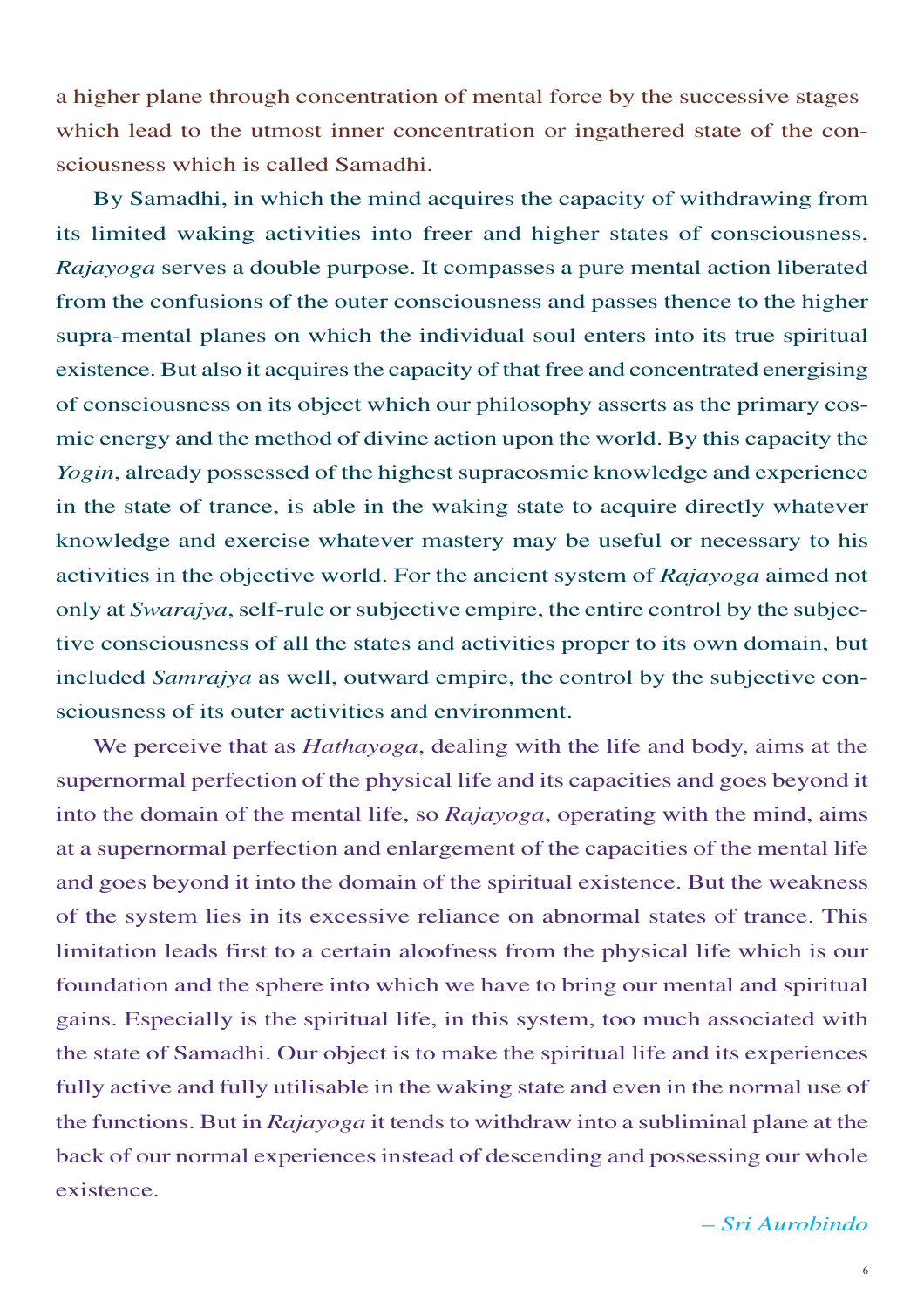a higher plane through concentration of mental force by the successive stages which lead to the utmost inner concentration or ingathered state of the consciousness which is called Samadhi.

By Samadhi, in which the mind acquires the capacity of withdrawing from its limited waking activities into freer and higher states of consciousness, *Rajayoga* serves a double purpose. It compasses a pure mental action liberated from the confusions of the outer consciousness and passes thence to the higher supra-mental planes on which the individual soul enters into its true spiritual existence. But also it acquires the capacity of that free and concentrated energising of consciousness on its object which our philosophy asserts as the primary cosmic energy and the method of divine action upon the world. By this capacity the *Yogin*, already possessed of the highest supracosmic knowledge and experience in the state of trance, is able in the waking state to acquire directly whatever knowledge and exercise whatever mastery may be useful or necessary to his activities in the objective world. For the ancient system of *Rajayoga* aimed not only at *Swarajya*, self-rule or subjective empire, the entire control by the subjective consciousness of all the states and activities proper to its own domain, but included *Samrajya* as well, outward empire, the control by the subjective consciousness of its outer activities and environment.

We perceive that as *Hathayoga*, dealing with the life and body, aims at the supernormal perfection of the physical life and its capacities and goes beyond it into the domain of the mental life, so *Rajayoga*, operating with the mind, aims at a supernormal perfection and enlargement of the capacities of the mental life and goes beyond it into the domain of the spiritual existence. But the weakness of the system lies in its excessive reliance on abnormal states of trance. This limitation leads first to a certain aloofness from the physical life which is our foundation and the sphere into which we have to bring our mental and spiritual gains. Especially is the spiritual life, in this system, too much associated with the state of Samadhi. Our object is to make the spiritual life and its experiences fully active and fully utilisable in the waking state and even in the normal use of the functions. But in *Rajayoga* it tends to withdraw into a subliminal plane at the back of our normal experiences instead of descending and possessing our whole existence.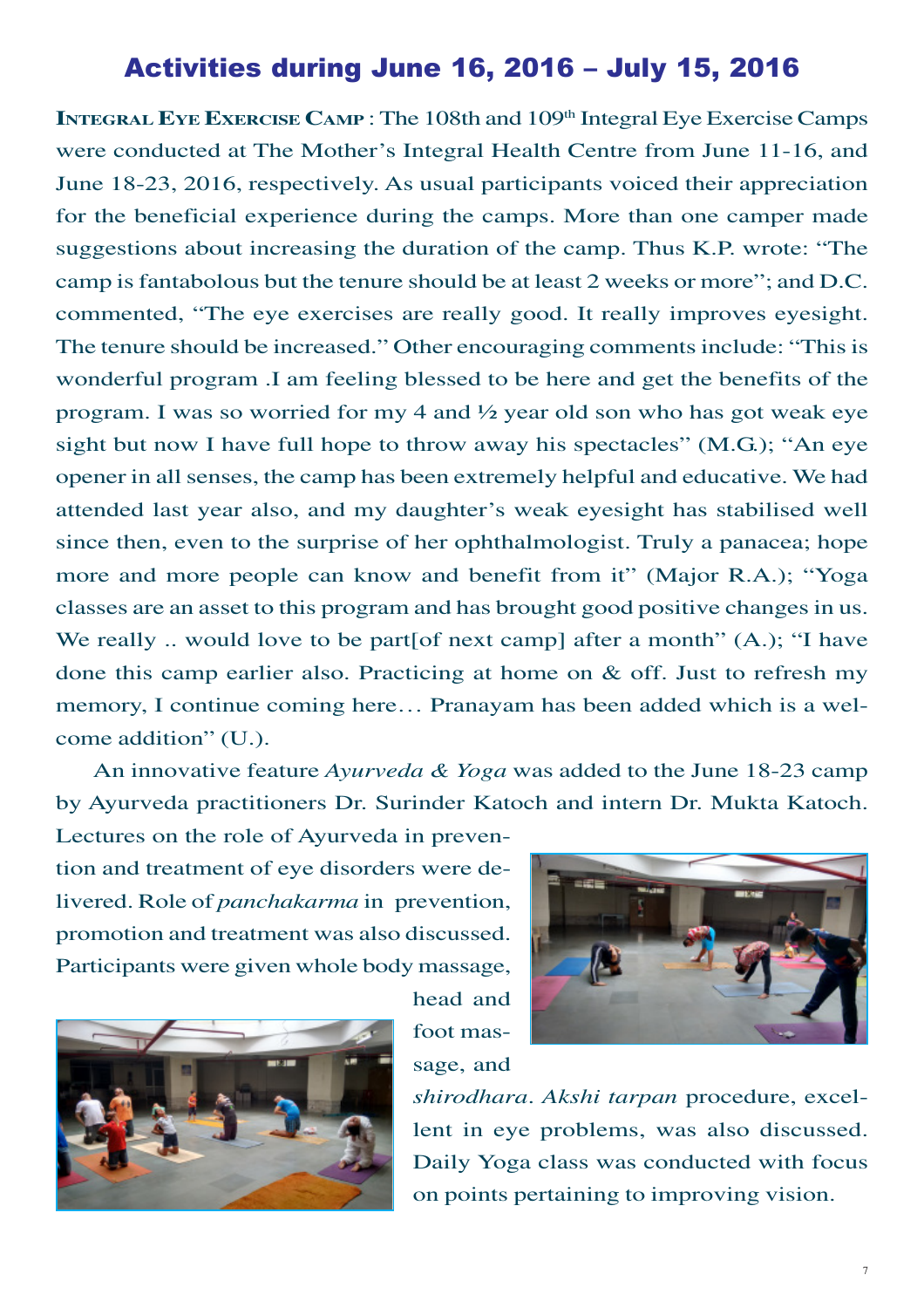## Activities during June 16, 2016 – July 15, 2016

**INTEGRAL EYE EXERCISE CAMP** : The 108th and 109th Integral Eye Exercise Camps were conducted at The Mother's Integral Health Centre from June 11-16, and June 18-23, 2016, respectively. As usual participants voiced their appreciation for the beneficial experience during the camps. More than one camper made suggestions about increasing the duration of the camp. Thus K.P. wrote: "The camp is fantabolous but the tenure should be at least 2 weeks or more"; and D.C. commented, "The eye exercises are really good. It really improves eyesight. The tenure should be increased." Other encouraging comments include: "This is wonderful program .I am feeling blessed to be here and get the benefits of the program. I was so worried for my 4 and ½ year old son who has got weak eye sight but now I have full hope to throw away his spectacles" (M.G.); "An eye" opener in all senses, the camp has been extremely helpful and educative. We had attended last year also, and my daughter's weak eyesight has stabilised well since then, even to the surprise of her ophthalmologist. Truly a panacea; hope more and more people can know and benefit from it" (Major R.A.); "Yoga classes are an asset to this program and has brought good positive changes in us. We really .. would love to be part of next camplated a month" (A.): "I have done this camp earlier also. Practicing at home on & off. Just to refresh my memory, I continue coming here… Pranayam has been added which is a welcome addition" (U.).

An innovative feature *Ayurveda & Yoga* was added to the June 18-23 camp by Ayurveda practitioners Dr. Surinder Katoch and intern Dr. Mukta Katoch.

Lectures on the role of Ayurveda in prevention and treatment of eye disorders were delivered. Role of *panchakarma* in prevention, promotion and treatment was also discussed. Participants were given whole body massage,





head and foot massage, and

*shirodhara*. *Akshi tarpan* procedure, excellent in eye problems, was also discussed. Daily Yoga class was conducted with focus on points pertaining to improving vision.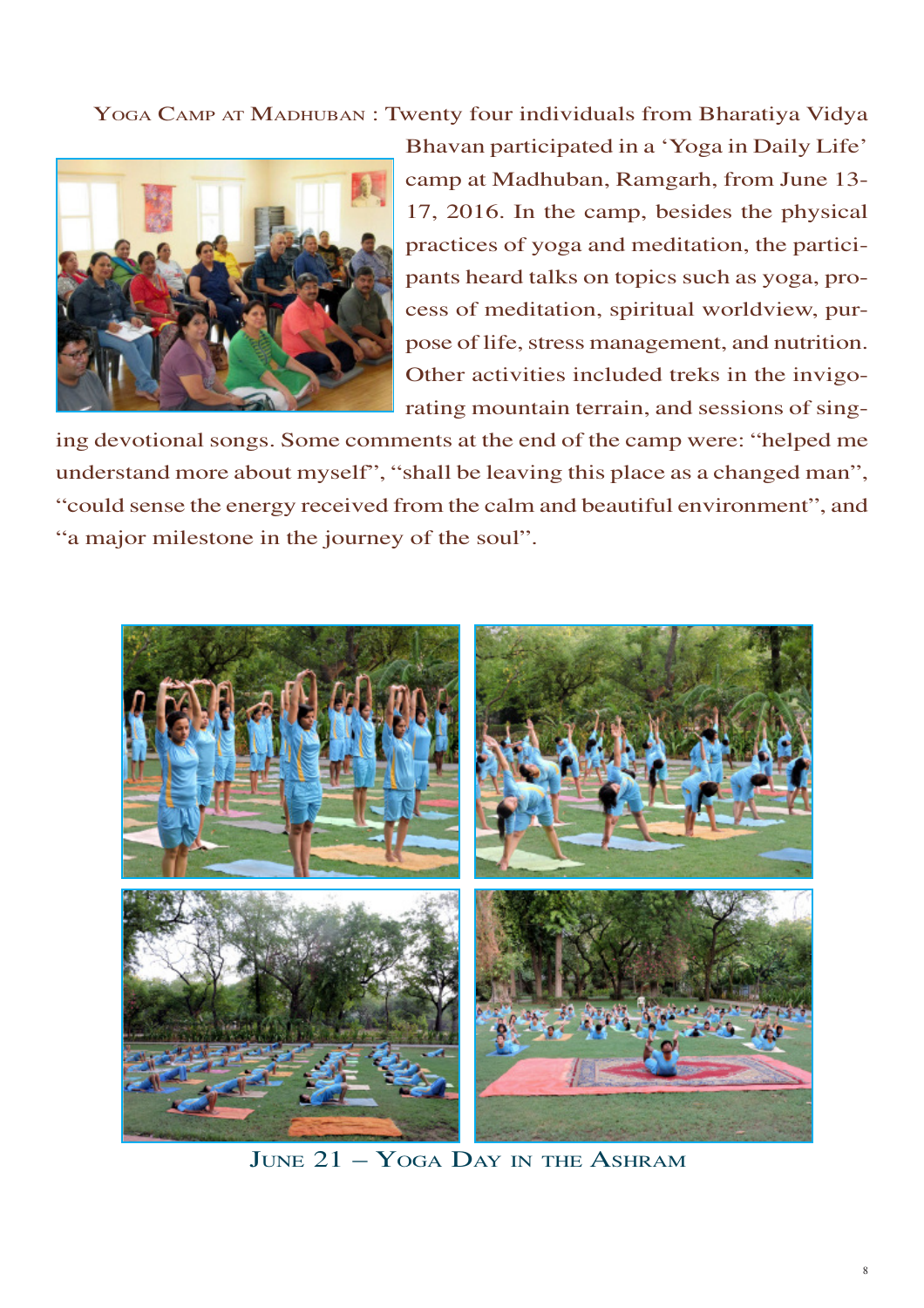YOGA CAMP AT MADHUBAN : Twenty four individuals from Bharatiya Vidya



Bhavan participated in a 'Yoga in Daily Life' camp at Madhuban, Ramgarh, from June 13- 17, 2016. In the camp, besides the physical practices of yoga and meditation, the participants heard talks on topics such as yoga, process of meditation, spiritual worldview, purpose of life, stress management, and nutrition. Other activities included treks in the invigorating mountain terrain, and sessions of sing-

ing devotional songs. Some comments at the end of the camp were: "helped me understand more about myself", "shall be leaving this place as a changed man", "could sense the energy received from the calm and beautiful environment", and "a major milestone in the journey of the soul".



JUNE 21 – YOGA DAY IN THE ASHRAM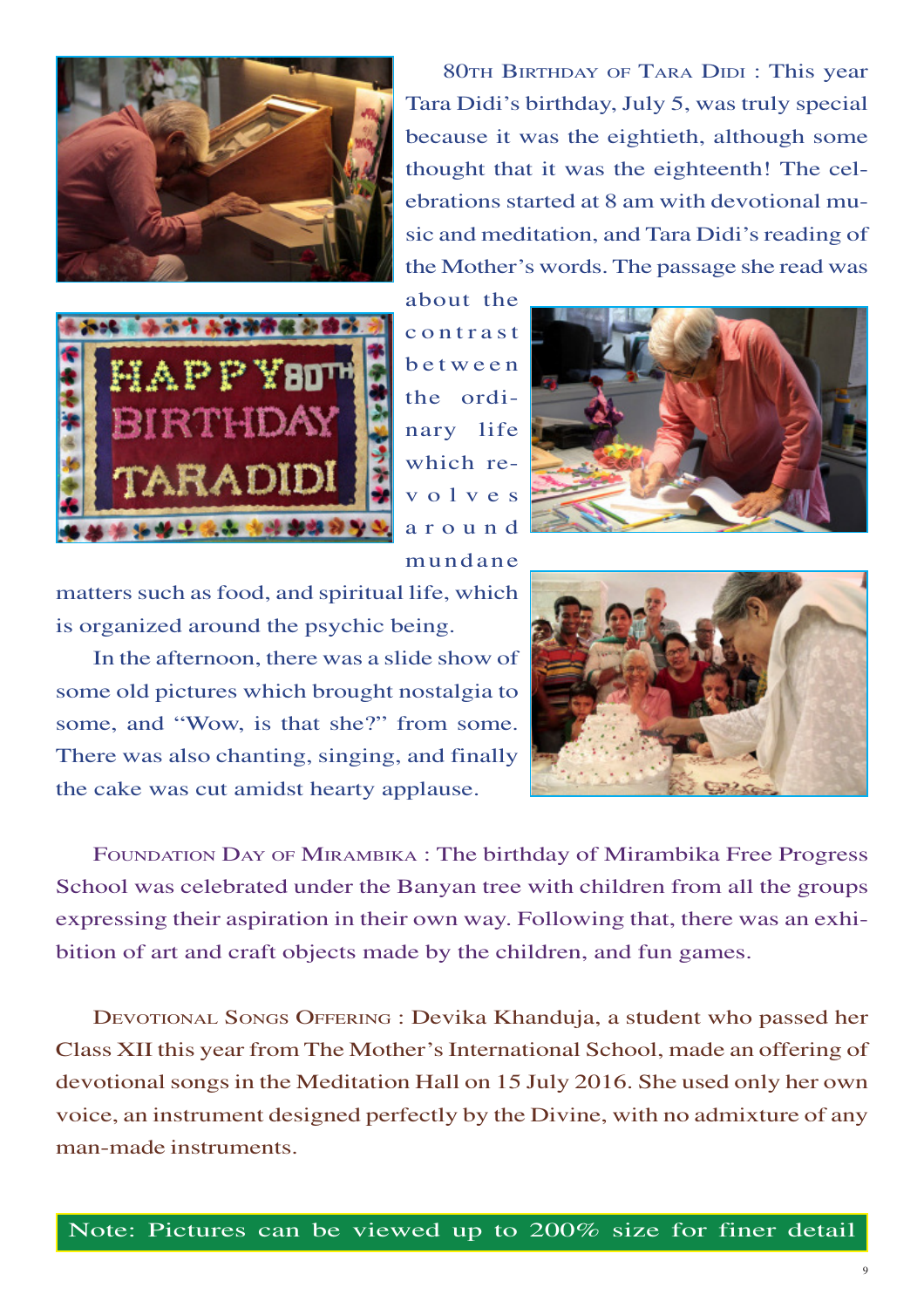

80TH BIRTHDAY OF TARA DIDI : This year Tara Didi's birthday, July 5, was truly special because it was the eightieth, although some thought that it was the eighteenth! The celebrations started at 8 am with devotional music and meditation, and Tara Didi's reading of the Mother's words. The passage she read was



about the contrast between the ordinary life which revolves around mundane

matters such as food, and spiritual life, which is organized around the psychic being.

In the afternoon, there was a slide show of some old pictures which brought nostalgia to some, and "Wow, is that she?" from some. There was also chanting, singing, and finally the cake was cut amidst hearty applause.





FOUNDATION DAY OF MIRAMBIKA : The birthday of Mirambika Free Progress School was celebrated under the Banyan tree with children from all the groups expressing their aspiration in their own way. Following that, there was an exhibition of art and craft objects made by the children, and fun games.

DEVOTIONAL SONGS OFFERING : Devika Khanduja, a student who passed her Class XII this year from The Mother's International School, made an offering of devotional songs in the Meditation Hall on 15 July 2016. She used only her own voice, an instrument designed perfectly by the Divine, with no admixture of any man-made instruments.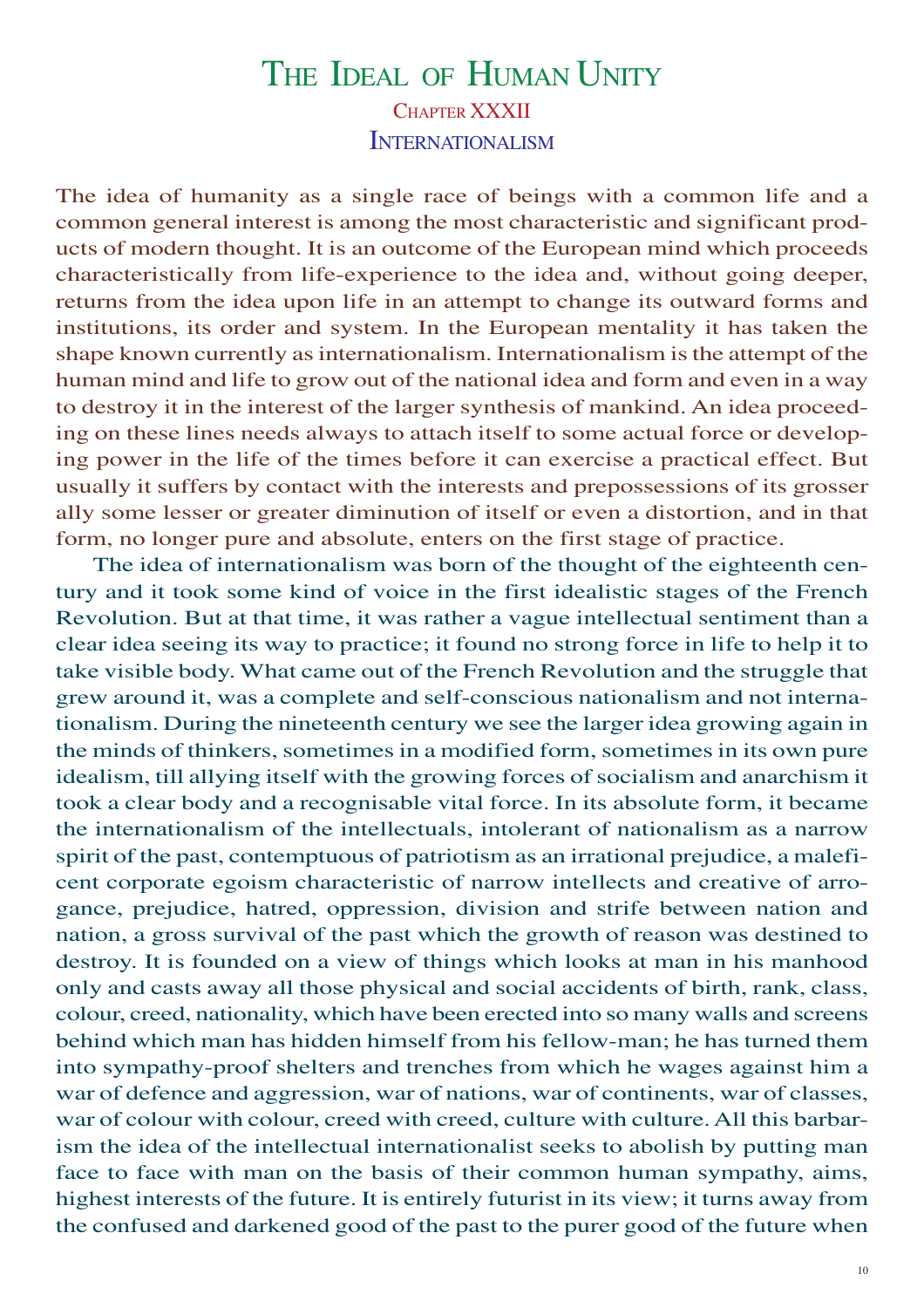## THE IDEAL OF HUMAN UNITY CHAPTER XXXII INTERNATIONALISM

The idea of humanity as a single race of beings with a common life and a common general interest is among the most characteristic and significant products of modern thought. It is an outcome of the European mind which proceeds characteristically from life-experience to the idea and, without going deeper, returns from the idea upon life in an attempt to change its outward forms and institutions, its order and system. In the European mentality it has taken the shape known currently as internationalism. Internationalism is the attempt of the human mind and life to grow out of the national idea and form and even in a way to destroy it in the interest of the larger synthesis of mankind. An idea proceeding on these lines needs always to attach itself to some actual force or developing power in the life of the times before it can exercise a practical effect. But usually it suffers by contact with the interests and prepossessions of its grosser ally some lesser or greater diminution of itself or even a distortion, and in that form, no longer pure and absolute, enters on the first stage of practice.

The idea of internationalism was born of the thought of the eighteenth century and it took some kind of voice in the first idealistic stages of the French Revolution. But at that time, it was rather a vague intellectual sentiment than a clear idea seeing its way to practice; it found no strong force in life to help it to take visible body. What came out of the French Revolution and the struggle that grew around it, was a complete and self-conscious nationalism and not internationalism. During the nineteenth century we see the larger idea growing again in the minds of thinkers, sometimes in a modified form, sometimes in its own pure idealism, till allying itself with the growing forces of socialism and anarchism it took a clear body and a recognisable vital force. In its absolute form, it became the internationalism of the intellectuals, intolerant of nationalism as a narrow spirit of the past, contemptuous of patriotism as an irrational prejudice, a maleficent corporate egoism characteristic of narrow intellects and creative of arrogance, prejudice, hatred, oppression, division and strife between nation and nation, a gross survival of the past which the growth of reason was destined to destroy. It is founded on a view of things which looks at man in his manhood only and casts away all those physical and social accidents of birth, rank, class, colour, creed, nationality, which have been erected into so many walls and screens behind which man has hidden himself from his fellow-man; he has turned them into sympathy-proof shelters and trenches from which he wages against him a war of defence and aggression, war of nations, war of continents, war of classes, war of colour with colour, creed with creed, culture with culture. All this barbarism the idea of the intellectual internationalist seeks to abolish by putting man face to face with man on the basis of their common human sympathy, aims, highest interests of the future. It is entirely futurist in its view; it turns away from the confused and darkened good of the past to the purer good of the future when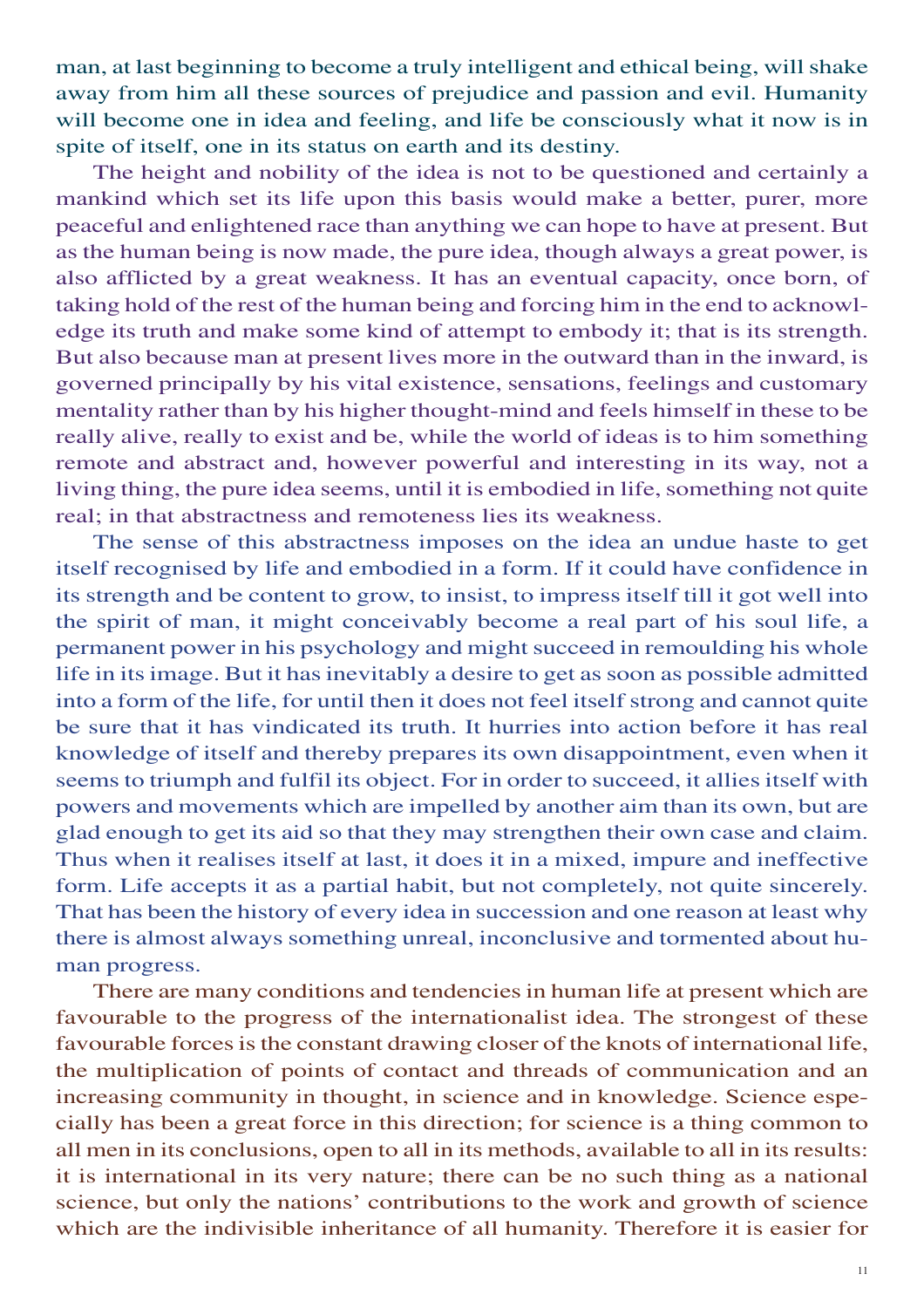man, at last beginning to become a truly intelligent and ethical being, will shake away from him all these sources of prejudice and passion and evil. Humanity will become one in idea and feeling, and life be consciously what it now is in spite of itself, one in its status on earth and its destiny.

The height and nobility of the idea is not to be questioned and certainly a mankind which set its life upon this basis would make a better, purer, more peaceful and enlightened race than anything we can hope to have at present. But as the human being is now made, the pure idea, though always a great power, is also afflicted by a great weakness. It has an eventual capacity, once born, of taking hold of the rest of the human being and forcing him in the end to acknowledge its truth and make some kind of attempt to embody it; that is its strength. But also because man at present lives more in the outward than in the inward, is governed principally by his vital existence, sensations, feelings and customary mentality rather than by his higher thought-mind and feels himself in these to be really alive, really to exist and be, while the world of ideas is to him something remote and abstract and, however powerful and interesting in its way, not a living thing, the pure idea seems, until it is embodied in life, something not quite real; in that abstractness and remoteness lies its weakness.

The sense of this abstractness imposes on the idea an undue haste to get itself recognised by life and embodied in a form. If it could have confidence in its strength and be content to grow, to insist, to impress itself till it got well into the spirit of man, it might conceivably become a real part of his soul life, a permanent power in his psychology and might succeed in remoulding his whole life in its image. But it has inevitably a desire to get as soon as possible admitted into a form of the life, for until then it does not feel itself strong and cannot quite be sure that it has vindicated its truth. It hurries into action before it has real knowledge of itself and thereby prepares its own disappointment, even when it seems to triumph and fulfil its object. For in order to succeed, it allies itself with powers and movements which are impelled by another aim than its own, but are glad enough to get its aid so that they may strengthen their own case and claim. Thus when it realises itself at last, it does it in a mixed, impure and ineffective form. Life accepts it as a partial habit, but not completely, not quite sincerely. That has been the history of every idea in succession and one reason at least why there is almost always something unreal, inconclusive and tormented about human progress.

There are many conditions and tendencies in human life at present which are favourable to the progress of the internationalist idea. The strongest of these favourable forces is the constant drawing closer of the knots of international life, the multiplication of points of contact and threads of communication and an increasing community in thought, in science and in knowledge. Science especially has been a great force in this direction; for science is a thing common to all men in its conclusions, open to all in its methods, available to all in its results: it is international in its very nature; there can be no such thing as a national science, but only the nations' contributions to the work and growth of science which are the indivisible inheritance of all humanity. Therefore it is easier for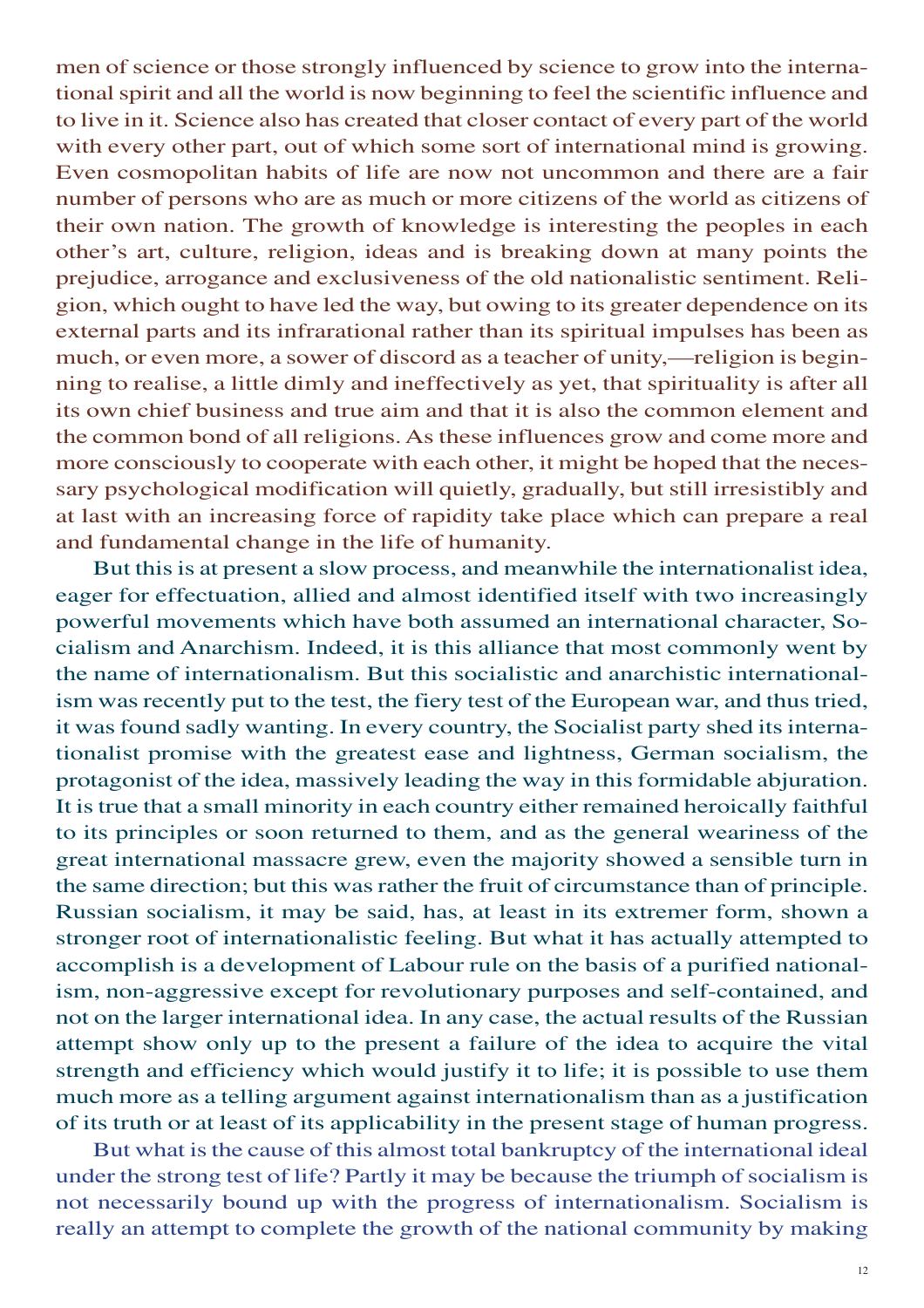men of science or those strongly influenced by science to grow into the international spirit and all the world is now beginning to feel the scientific influence and to live in it. Science also has created that closer contact of every part of the world with every other part, out of which some sort of international mind is growing. Even cosmopolitan habits of life are now not uncommon and there are a fair number of persons who are as much or more citizens of the world as citizens of their own nation. The growth of knowledge is interesting the peoples in each other's art, culture, religion, ideas and is breaking down at many points the prejudice, arrogance and exclusiveness of the old nationalistic sentiment. Religion, which ought to have led the way, but owing to its greater dependence on its external parts and its infrarational rather than its spiritual impulses has been as much, or even more, a sower of discord as a teacher of unity,—religion is beginning to realise, a little dimly and ineffectively as yet, that spirituality is after all its own chief business and true aim and that it is also the common element and the common bond of all religions. As these influences grow and come more and more consciously to cooperate with each other, it might be hoped that the necessary psychological modification will quietly, gradually, but still irresistibly and at last with an increasing force of rapidity take place which can prepare a real and fundamental change in the life of humanity.

But this is at present a slow process, and meanwhile the internationalist idea, eager for effectuation, allied and almost identified itself with two increasingly powerful movements which have both assumed an international character, Socialism and Anarchism. Indeed, it is this alliance that most commonly went by the name of internationalism. But this socialistic and anarchistic internationalism was recently put to the test, the fiery test of the European war, and thus tried, it was found sadly wanting. In every country, the Socialist party shed its internationalist promise with the greatest ease and lightness, German socialism, the protagonist of the idea, massively leading the way in this formidable abjuration. It is true that a small minority in each country either remained heroically faithful to its principles or soon returned to them, and as the general weariness of the great international massacre grew, even the majority showed a sensible turn in the same direction; but this was rather the fruit of circumstance than of principle. Russian socialism, it may be said, has, at least in its extremer form, shown a stronger root of internationalistic feeling. But what it has actually attempted to accomplish is a development of Labour rule on the basis of a purified nationalism, non-aggressive except for revolutionary purposes and self-contained, and not on the larger international idea. In any case, the actual results of the Russian attempt show only up to the present a failure of the idea to acquire the vital strength and efficiency which would justify it to life; it is possible to use them much more as a telling argument against internationalism than as a justification of its truth or at least of its applicability in the present stage of human progress.

But what is the cause of this almost total bankruptcy of the international ideal under the strong test of life? Partly it may be because the triumph of socialism is not necessarily bound up with the progress of internationalism. Socialism is really an attempt to complete the growth of the national community by making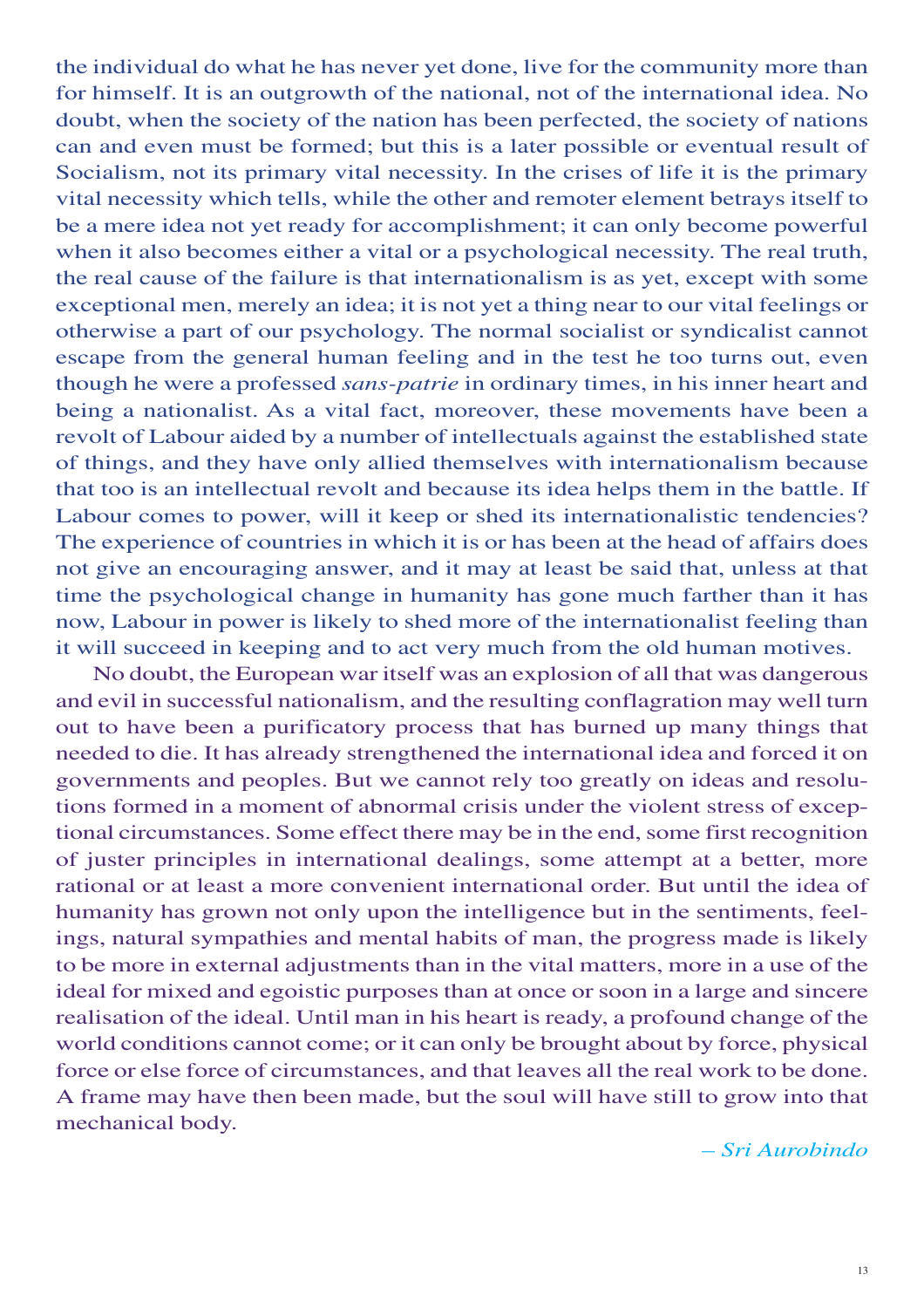the individual do what he has never yet done, live for the community more than for himself. It is an outgrowth of the national, not of the international idea. No doubt, when the society of the nation has been perfected, the society of nations can and even must be formed; but this is a later possible or eventual result of Socialism, not its primary vital necessity. In the crises of life it is the primary vital necessity which tells, while the other and remoter element betrays itself to be a mere idea not yet ready for accomplishment; it can only become powerful when it also becomes either a vital or a psychological necessity. The real truth, the real cause of the failure is that internationalism is as yet, except with some exceptional men, merely an idea; it is not yet a thing near to our vital feelings or otherwise a part of our psychology. The normal socialist or syndicalist cannot escape from the general human feeling and in the test he too turns out, even though he were a professed *sans-patrie* in ordinary times, in his inner heart and being a nationalist. As a vital fact, moreover, these movements have been a revolt of Labour aided by a number of intellectuals against the established state of things, and they have only allied themselves with internationalism because that too is an intellectual revolt and because its idea helps them in the battle. If Labour comes to power, will it keep or shed its internationalistic tendencies? The experience of countries in which it is or has been at the head of affairs does not give an encouraging answer, and it may at least be said that, unless at that time the psychological change in humanity has gone much farther than it has now, Labour in power is likely to shed more of the internationalist feeling than it will succeed in keeping and to act very much from the old human motives.

No doubt, the European war itself was an explosion of all that was dangerous and evil in successful nationalism, and the resulting conflagration may well turn out to have been a purificatory process that has burned up many things that needed to die. It has already strengthened the international idea and forced it on governments and peoples. But we cannot rely too greatly on ideas and resolutions formed in a moment of abnormal crisis under the violent stress of exceptional circumstances. Some effect there may be in the end, some first recognition of juster principles in international dealings, some attempt at a better, more rational or at least a more convenient international order. But until the idea of humanity has grown not only upon the intelligence but in the sentiments, feelings, natural sympathies and mental habits of man, the progress made is likely to be more in external adjustments than in the vital matters, more in a use of the ideal for mixed and egoistic purposes than at once or soon in a large and sincere realisation of the ideal. Until man in his heart is ready, a profound change of the world conditions cannot come; or it can only be brought about by force, physical force or else force of circumstances, and that leaves all the real work to be done. A frame may have then been made, but the soul will have still to grow into that mechanical body.

– *Sri Aurobindo*